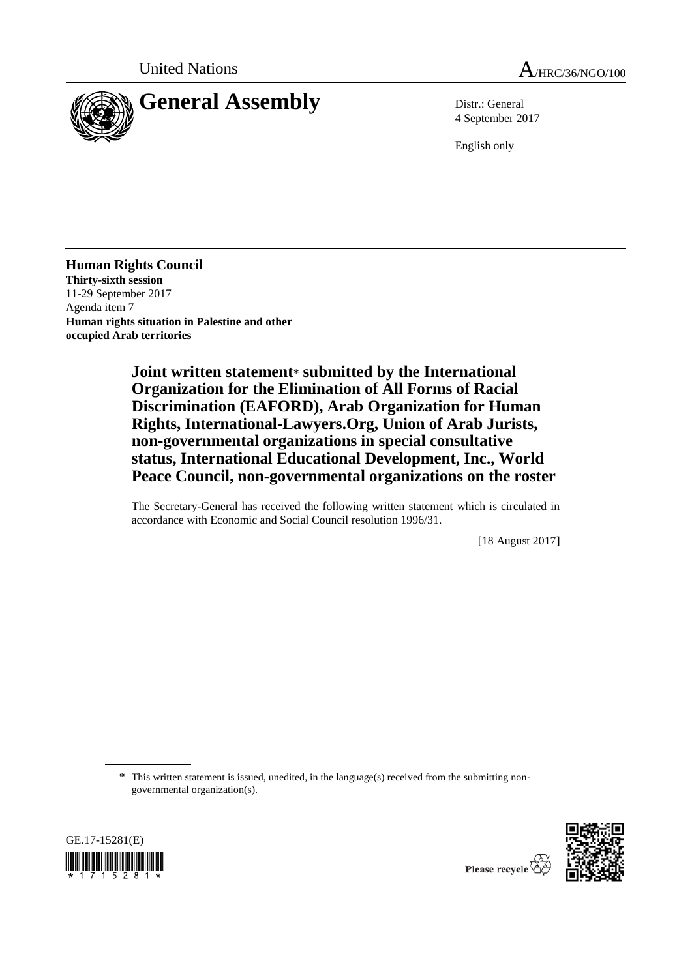



4 September 2017

English only

**Human Rights Council Thirty-sixth session** 11-29 September 2017 Agenda item 7 **Human rights situation in Palestine and other occupied Arab territories**

> **Joint written statement**\* **submitted by the International Organization for the Elimination of All Forms of Racial Discrimination (EAFORD), Arab Organization for Human Rights, International-Lawyers.Org, Union of Arab Jurists, non-governmental organizations in special consultative status, International Educational Development, Inc., World Peace Council, non-governmental organizations on the roster**

> The Secretary-General has received the following written statement which is circulated in accordance with Economic and Social Council resolution 1996/31.

> > [18 August 2017]

\* This written statement is issued, unedited, in the language(s) received from the submitting nongovernmental organization(s).



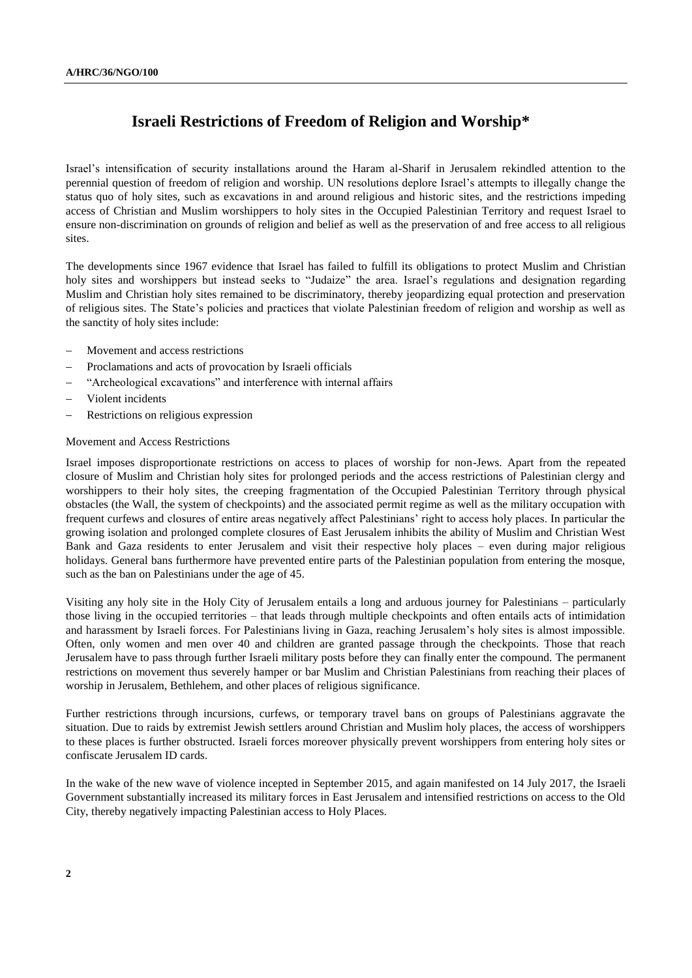# **Israeli Restrictions of Freedom of Religion and Worship\***

Israel's intensification of security installations around the Haram al-Sharif in Jerusalem rekindled attention to the perennial question of freedom of religion and worship. UN resolutions deplore Israel's attempts to illegally change the status quo of holy sites, such as excavations in and around religious and historic sites, and the restrictions impeding access of Christian and Muslim worshippers to holy sites in the Occupied Palestinian Territory and request Israel to ensure non-discrimination on grounds of religion and belief as well as the preservation of and free access to all religious sites.

The developments since 1967 evidence that Israel has failed to fulfill its obligations to protect Muslim and Christian holy sites and worshippers but instead seeks to "Judaize" the area. Israel's regulations and designation regarding Muslim and Christian holy sites remained to be discriminatory, thereby jeopardizing equal protection and preservation of religious sites. The State's policies and practices that violate Palestinian freedom of religion and worship as well as the sanctity of holy sites include:

- Movement and access restrictions
- Proclamations and acts of provocation by Israeli officials
- "Archeological excavations" and interference with internal affairs
- Violent incidents
- Restrictions on religious expression

#### Movement and Access Restrictions

Israel imposes disproportionate restrictions on access to places of worship for non-Jews. Apart from the repeated closure of Muslim and Christian holy sites for prolonged periods and the access restrictions of Palestinian clergy and worshippers to their holy sites, the creeping fragmentation of the Occupied Palestinian Territory through physical obstacles (the Wall, the system of checkpoints) and the associated permit regime as well as the military occupation with frequent curfews and closures of entire areas negatively affect Palestinians' right to access holy places. In particular the growing isolation and prolonged complete closures of East Jerusalem inhibits the ability of Muslim and Christian West Bank and Gaza residents to enter Jerusalem and visit their respective holy places – even during major religious holidays. General bans furthermore have prevented entire parts of the Palestinian population from entering the mosque, such as the ban on Palestinians under the age of 45.

Visiting any holy site in the Holy City of Jerusalem entails a long and arduous journey for Palestinians – particularly those living in the occupied territories – that leads through multiple checkpoints and often entails acts of intimidation and harassment by Israeli forces. For Palestinians living in Gaza, reaching Jerusalem's holy sites is almost impossible. Often, only women and men over 40 and children are granted passage through the checkpoints. Those that reach Jerusalem have to pass through further Israeli military posts before they can finally enter the compound. The permanent restrictions on movement thus severely hamper or bar Muslim and Christian Palestinians from reaching their places of worship in Jerusalem, Bethlehem, and other places of religious significance.

Further restrictions through incursions, curfews, or temporary travel bans on groups of Palestinians aggravate the situation. Due to raids by extremist Jewish settlers around Christian and Muslim holy places, the access of worshippers to these places is further obstructed. Israeli forces moreover physically prevent worshippers from entering holy sites or confiscate Jerusalem ID cards.

In the wake of the new wave of violence incepted in September 2015, and again manifested on 14 July 2017, the Israeli Government substantially increased its military forces in East Jerusalem and intensified restrictions on access to the Old City, thereby negatively impacting Palestinian access to Holy Places.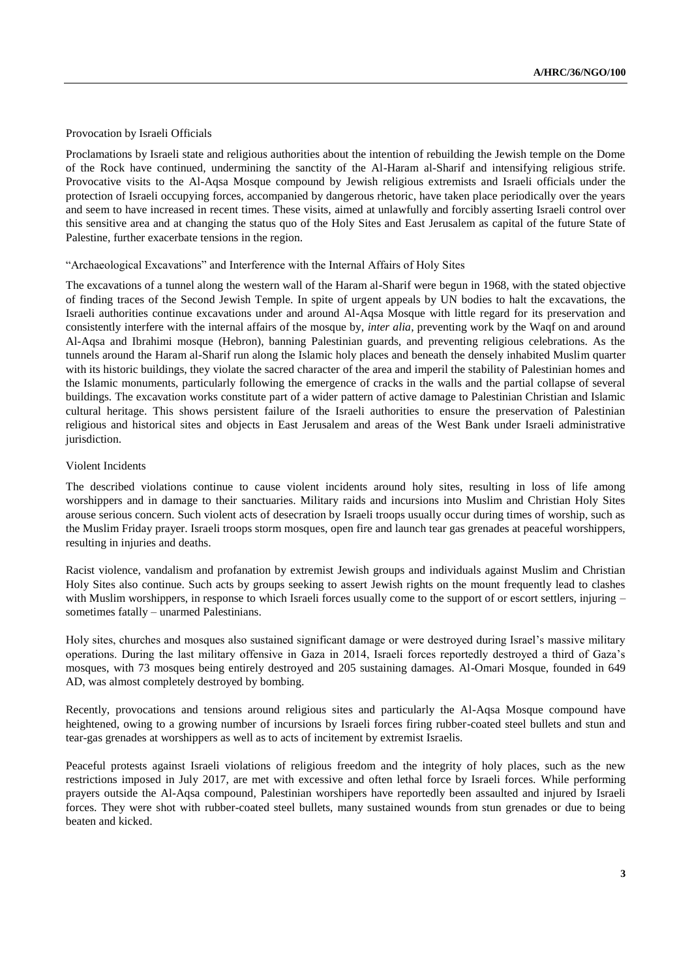## Provocation by Israeli Officials

Proclamations by Israeli state and religious authorities about the intention of rebuilding the Jewish temple on the Dome of the Rock have continued, undermining the sanctity of the Al-Haram al-Sharif and intensifying religious strife. Provocative visits to the Al-Aqsa Mosque compound by Jewish religious extremists and Israeli officials under the protection of Israeli occupying forces, accompanied by dangerous rhetoric, have taken place periodically over the years and seem to have increased in recent times. These visits, aimed at unlawfully and forcibly asserting Israeli control over this sensitive area and at changing the status quo of the Holy Sites and East Jerusalem as capital of the future State of Palestine, further exacerbate tensions in the region.

## "Archaeological Excavations" and Interference with the Internal Affairs of Holy Sites

The excavations of a tunnel along the western wall of the Haram al-Sharif were begun in 1968, with the stated objective of finding traces of the Second Jewish Temple. In spite of urgent appeals by UN bodies to halt the excavations, the Israeli authorities continue excavations under and around Al-Aqsa Mosque with little regard for its preservation and consistently interfere with the internal affairs of the mosque by, *inter alia*, preventing work by the Waqf on and around Al-Aqsa and Ibrahimi mosque (Hebron), banning Palestinian guards, and preventing religious celebrations. As the tunnels around the Haram al-Sharif run along the Islamic holy places and beneath the densely inhabited Muslim quarter with its historic buildings, they violate the sacred character of the area and imperil the stability of Palestinian homes and the Islamic monuments, particularly following the emergence of cracks in the walls and the partial collapse of several buildings. The excavation works constitute part of a wider pattern of active damage to Palestinian Christian and Islamic cultural heritage. This shows persistent failure of the Israeli authorities to ensure the preservation of Palestinian religious and historical sites and objects in East Jerusalem and areas of the West Bank under Israeli administrative jurisdiction.

## Violent Incidents

The described violations continue to cause violent incidents around holy sites, resulting in loss of life among worshippers and in damage to their sanctuaries. Military raids and incursions into Muslim and Christian Holy Sites arouse serious concern. Such violent acts of desecration by Israeli troops usually occur during times of worship, such as the Muslim Friday prayer. Israeli troops storm mosques, open fire and launch tear gas grenades at peaceful worshippers, resulting in injuries and deaths.

Racist violence, vandalism and profanation by extremist Jewish groups and individuals against Muslim and Christian Holy Sites also continue. Such acts by groups seeking to assert Jewish rights on the mount frequently lead to clashes with Muslim worshippers, in response to which Israeli forces usually come to the support of or escort settlers, injuring – sometimes fatally – unarmed Palestinians.

Holy sites, churches and mosques also sustained significant damage or were destroyed during Israel's massive military operations. During the last military offensive in Gaza in 2014, Israeli forces reportedly destroyed a third of Gaza's mosques, with 73 mosques being entirely destroyed and 205 sustaining damages. Al-Omari Mosque, founded in 649 AD, was almost completely destroyed by bombing.

Recently, provocations and tensions around religious sites and particularly the Al-Aqsa Mosque compound have heightened, owing to a growing number of incursions by Israeli forces firing rubber-coated steel bullets and stun and tear-gas grenades at worshippers as well as to acts of incitement by extremist Israelis.

Peaceful protests against Israeli violations of religious freedom and the integrity of holy places, such as the new restrictions imposed in July 2017, are met with excessive and often lethal force by Israeli forces. While performing prayers outside the Al-Aqsa compound, Palestinian worshipers have reportedly been assaulted and injured by Israeli forces. They were shot with rubber-coated steel bullets, many sustained wounds from stun grenades or due to being beaten and kicked.